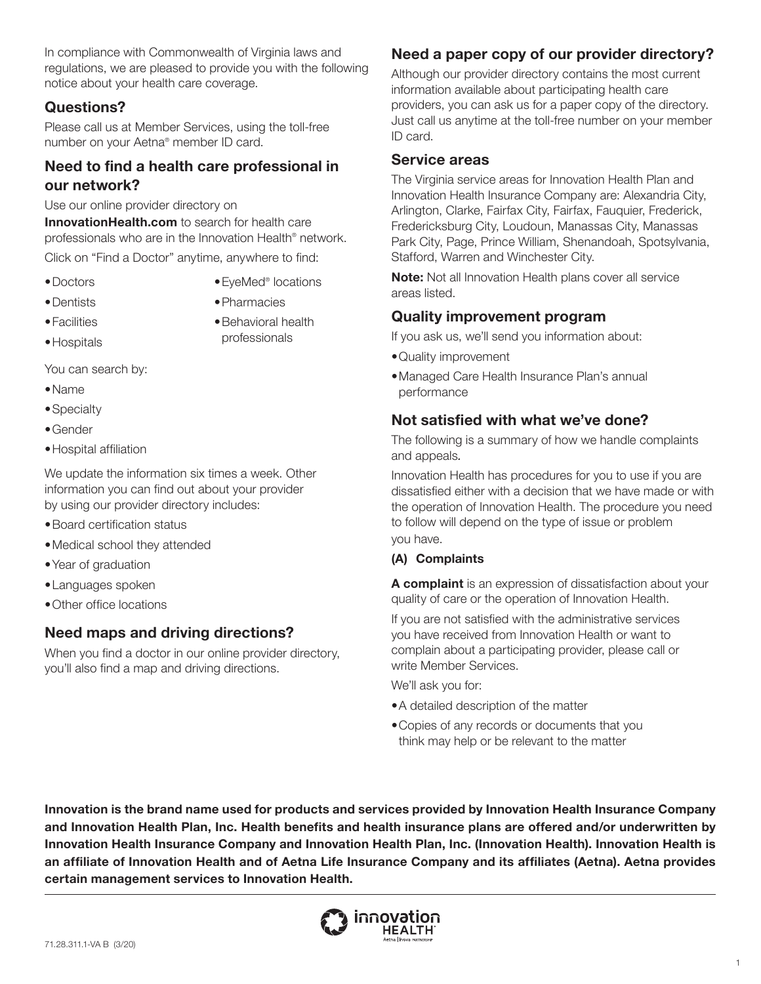In compliance with Commonwealth of Virginia laws and regulations, we are pleased to provide you with the following notice about your health care coverage.

# **Questions?**

Please call us at Member Services, using the toll-free number on your Aetna® member ID card.

# **Need to find a health care professional in our network?**

Use our online provider directory on **[InnovationHealth.com](https://www.innovationhealth.com)** to search for health care professionals who are in the Innovation Health® network. Click on "Find a Doctor" anytime, anywhere to find:

•Doctors

•EyeMed® locations •Pharmacies

•Dentists •Facilities

•Hospitals

- •Behavioral health professionals
- You can search by:
- •Name
- •Specialty
- •Gender
- •Hospital affiliation

We update the information six times a week. Other information you can find out about your provider by using our provider directory includes:

- •Board certification status
- •Medical school they attended
- •Year of graduation
- •Languages spoken
- •Other office locations

# **Need maps and driving directions?**

When you find a doctor in our online provider directory, you'll also find a map and driving directions.

# **Need a paper copy of our provider directory?**

Although our provider directory contains the most current information available about participating health care providers, you can ask us for a paper copy of the directory. Just call us anytime at the toll-free number on your member ID card.

### **Service areas**

The Virginia service areas for Innovation Health Plan and Innovation Health Insurance Company are: Alexandria City, Arlington, Clarke, Fairfax City, Fairfax, Fauquier, Frederick, Fredericksburg City, Loudoun, Manassas City, Manassas Park City, Page, Prince William, Shenandoah, Spotsylvania, Stafford, Warren and Winchester City.

**Note:** Not all Innovation Health plans cover all service areas listed.

### **Quality improvement program**

If you ask us, we'll send you information about:

- •Quality improvement
- Managed Care Health Insurance Plan's annual performance

# **Not satisfied with what we've done?**

The following is a summary of how we handle complaints and appeals*.*

Innovation Health has procedures for you to use if you are dissatisfied either with a decision that we have made or with the operation of Innovation Health. The procedure you need to follow will depend on the type of issue or problem you have.

### **(A) Complaints**

**A complaint** is an expression of dissatisfaction about your quality of care or the operation of Innovation Health.

If you are not satisfied with the administrative services you have received from Innovation Health or want to complain about a participating provider, please call or write Member Services.

We'll ask you for:

- •A detailed description of the matter
- Copies of any records or documents that you think may help or be relevant to the matter

**Innovation is the brand name used for products and services provided by Innovation Health Insurance Company and Innovation Health Plan, Inc. Health benefits and health insurance plans are offered and/or underwritten by Innovation Health Insurance Company and Innovation Health Plan, Inc. (Innovation Health). Innovation Health is an affiliate of Innovation Health and of Aetna Life Insurance Company and its affiliates (Aetna). Aetna provides certain management services to Innovation Health.** 

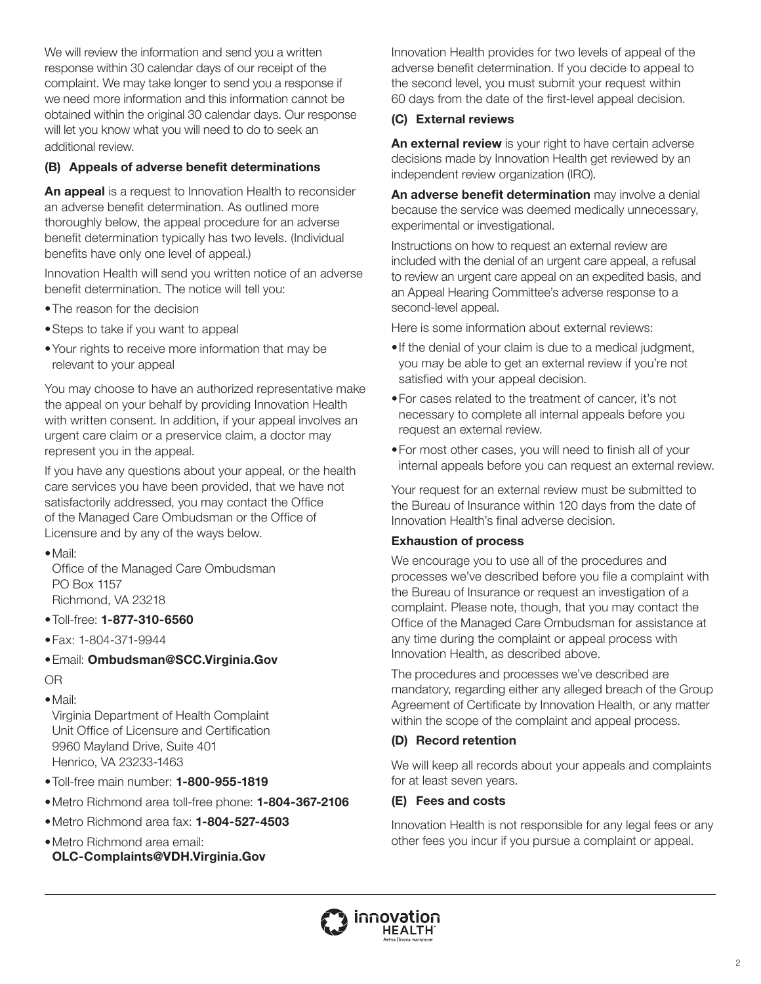We will review the information and send you a written response within 30 calendar days of our receipt of the complaint. We may take longer to send you a response if we need more information and this information cannot be obtained within the original 30 calendar days. Our response will let you know what you will need to do to seek an additional review.

### **(B) Appeals of adverse benefit determinations**

**An appeal** is a request to Innovation Health to reconsider an adverse benefit determination. As outlined more thoroughly below, the appeal procedure for an adverse benefit determination typically has two levels. (Individual benefits have only one level of appeal.)

Innovation Health will send you written notice of an adverse benefit determination. The notice will tell you:

- •The reason for the decision
- Steps to take if you want to appeal
- Your rights to receive more information that may be relevant to your appeal

You may choose to have an authorized representative make the appeal on your behalf by providing Innovation Health with written consent. In addition, if your appeal involves an urgent care claim or a preservice claim, a doctor may represent you in the appeal.

If you have any questions about your appeal, or the health care services you have been provided, that we have not satisfactorily addressed, you may contact the Office of the Managed Care Ombudsman or the Office of Licensure and by any of the ways below.

•Mail:

Office of the Managed Care Ombudsman PO Box 1157 Richmond, VA 23218

#### •Toll-free: **1-877-310-6560**

- •Fax: 1-804-371-9944
- •Email: **[Ombudsman@SCC.Virginia.Gov](mailto:Ombudsman@SCC.Virginia.Gov)**

OR

•Mail:

Virginia Department of Health Complaint Unit Office of Licensure and Certification 9960 Mayland Drive, Suite 401 Henrico, VA 23233-1463

- Toll-free main number: **1-800-955-1819**
- Metro Richmond area toll-free phone: **1-804-367-2106**
- Metro Richmond area fax: **1-804-527-4503**
- Metro Richmond area email: **[OLC-Complaints@VDH.Virginia.Gov](mailto:OLC-Complaints@VDH.Virginia.Gov)**

Innovation Health provides for two levels of appeal of the adverse benefit determination. If you decide to appeal to the second level, you must submit your request within 60 days from the date of the first-level appeal decision.

#### **(C) External reviews**

**An external review** is your right to have certain adverse decisions made by Innovation Health get reviewed by an independent review organization (IRO).

**An adverse benefit determination** may involve a denial because the service was deemed medically unnecessary, experimental or investigational.

Instructions on how to request an external review are included with the denial of an urgent care appeal, a refusal to review an urgent care appeal on an expedited basis, and an Appeal Hearing Committee's adverse response to a second-level appeal.

Here is some information about external reviews:

- If the denial of your claim is due to a medical judgment, you may be able to get an external review if you're not satisfied with your appeal decision.
- For cases related to the treatment of cancer, it's not necessary to complete all internal appeals before you request an external review.
- For most other cases, you will need to finish all of your internal appeals before you can request an external review.

Your request for an external review must be submitted to the Bureau of Insurance within 120 days from the date of Innovation Health's final adverse decision.

### **Exhaustion of process**

We encourage you to use all of the procedures and processes we've described before you file a complaint with the Bureau of Insurance or request an investigation of a complaint. Please note, though, that you may contact the Office of the Managed Care Ombudsman for assistance at any time during the complaint or appeal process with Innovation Health, as described above.

The procedures and processes we've described are mandatory, regarding either any alleged breach of the Group Agreement of Certificate by Innovation Health, or any matter within the scope of the complaint and appeal process.

### **(D) Record retention**

We will keep all records about your appeals and complaints for at least seven years.

### **(E) Fees and costs**

Innovation Health is not responsible for any legal fees or any other fees you incur if you pursue a complaint or appeal.

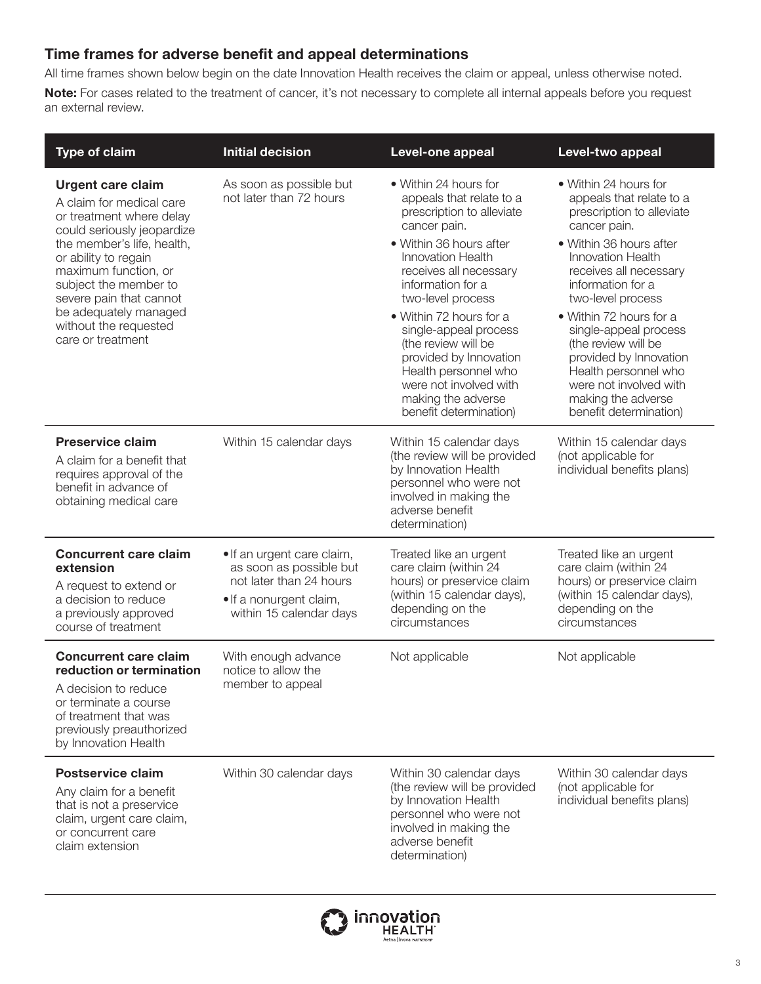# **Time frames for adverse benefit and appeal determinations**

All time frames shown below begin on the date Innovation Health receives the claim or appeal, unless otherwise noted. **Note:** For cases related to the treatment of cancer, it's not necessary to complete all internal appeals before you request an external review.

| <b>Type of claim</b>                                                                                                                                                                                                                                                                                                    | <b>Initial decision</b>                                                                                                                | Level-one appeal                                                                                                                                                                                                                                                                                                                                                                                                                 | Level-two appeal                                                                                                                                                                                                                                                                                                                                                                                                          |
|-------------------------------------------------------------------------------------------------------------------------------------------------------------------------------------------------------------------------------------------------------------------------------------------------------------------------|----------------------------------------------------------------------------------------------------------------------------------------|----------------------------------------------------------------------------------------------------------------------------------------------------------------------------------------------------------------------------------------------------------------------------------------------------------------------------------------------------------------------------------------------------------------------------------|---------------------------------------------------------------------------------------------------------------------------------------------------------------------------------------------------------------------------------------------------------------------------------------------------------------------------------------------------------------------------------------------------------------------------|
| <b>Urgent care claim</b><br>A claim for medical care<br>or treatment where delay<br>could seriously jeopardize<br>the member's life, health,<br>or ability to regain<br>maximum function, or<br>subject the member to<br>severe pain that cannot<br>be adequately managed<br>without the requested<br>care or treatment | As soon as possible but<br>not later than 72 hours                                                                                     | • Within 24 hours for<br>appeals that relate to a<br>prescription to alleviate<br>cancer pain.<br>• Within 36 hours after<br><b>Innovation Health</b><br>receives all necessary<br>information for a<br>two-level process<br>• Within 72 hours for a<br>single-appeal process<br>(the review will be<br>provided by Innovation<br>Health personnel who<br>were not involved with<br>making the adverse<br>benefit determination) | • Within 24 hours for<br>appeals that relate to a<br>prescription to alleviate<br>cancer pain.<br>• Within 36 hours after<br>Innovation Health<br>receives all necessary<br>information for a<br>two-level process<br>· Within 72 hours for a<br>single-appeal process<br>(the review will be<br>provided by Innovation<br>Health personnel who<br>were not involved with<br>making the adverse<br>benefit determination) |
| <b>Preservice claim</b><br>A claim for a benefit that<br>requires approval of the<br>benefit in advance of<br>obtaining medical care                                                                                                                                                                                    | Within 15 calendar days                                                                                                                | Within 15 calendar days<br>(the review will be provided<br>by Innovation Health<br>personnel who were not<br>involved in making the<br>adverse benefit<br>determination)                                                                                                                                                                                                                                                         | Within 15 calendar days<br>(not applicable for<br>individual benefits plans)                                                                                                                                                                                                                                                                                                                                              |
| <b>Concurrent care claim</b><br>extension<br>A request to extend or<br>a decision to reduce<br>a previously approved<br>course of treatment                                                                                                                                                                             | • If an urgent care claim,<br>as soon as possible but<br>not later than 24 hours<br>• If a nonurgent claim,<br>within 15 calendar days | Treated like an urgent<br>care claim (within 24<br>hours) or preservice claim<br>(within 15 calendar days),<br>depending on the<br>circumstances                                                                                                                                                                                                                                                                                 | Treated like an urgent<br>care claim (within 24<br>hours) or preservice claim<br>(within 15 calendar days),<br>depending on the<br>circumstances                                                                                                                                                                                                                                                                          |
| <b>Concurrent care claim</b><br>reduction or termination<br>A decision to reduce<br>or terminate a course<br>of treatment that was<br>previously preauthorized<br>by Innovation Health                                                                                                                                  | With enough advance<br>notice to allow the<br>member to appeal                                                                         | Not applicable                                                                                                                                                                                                                                                                                                                                                                                                                   | Not applicable                                                                                                                                                                                                                                                                                                                                                                                                            |
| <b>Postservice claim</b><br>Any claim for a benefit<br>that is not a preservice<br>claim, urgent care claim,<br>or concurrent care<br>claim extension                                                                                                                                                                   | Within 30 calendar days                                                                                                                | Within 30 calendar days<br>(the review will be provided<br>by Innovation Health<br>personnel who were not<br>involved in making the<br>adverse benefit<br>determination)                                                                                                                                                                                                                                                         | Within 30 calendar days<br>(not applicable for<br>individual benefits plans)                                                                                                                                                                                                                                                                                                                                              |

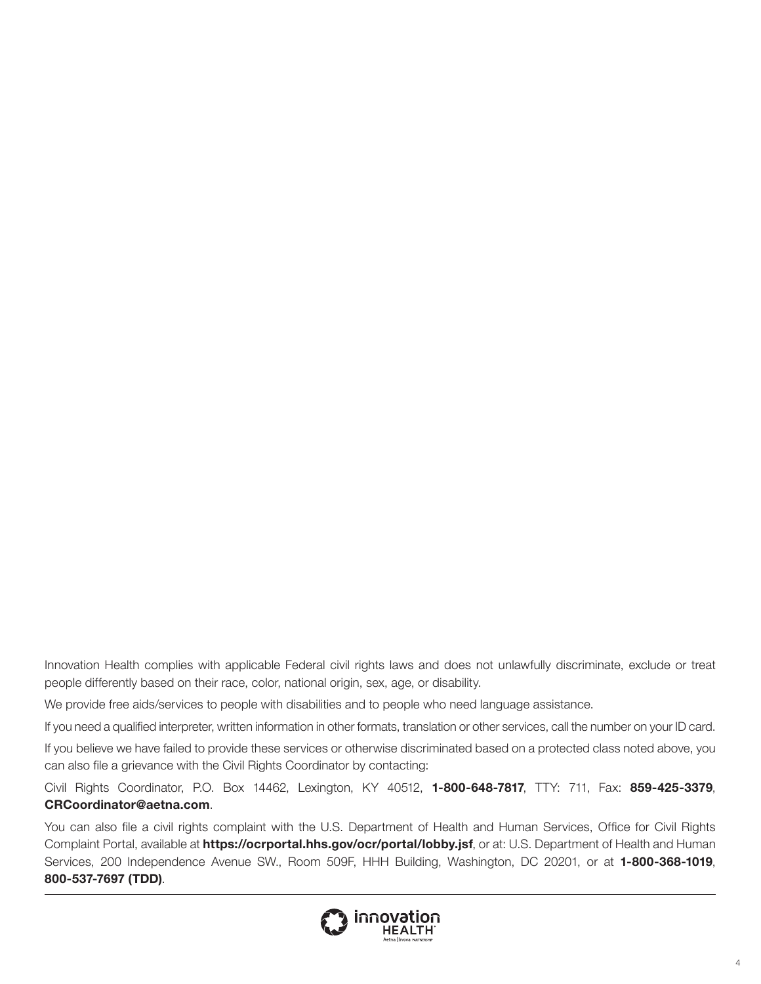Innovation Health complies with applicable Federal civil rights laws and does not unlawfully discriminate, exclude or treat people differently based on their race, color, national origin, sex, age, or disability.

We provide free aids/services to people with disabilities and to people who need language assistance.

If you need a qualified interpreter, written information in other formats, translation or other services, call the number on your ID card.

If you believe we have failed to provide these services or otherwise discriminated based on a protected class noted above, you can also file a grievance with the Civil Rights Coordinator by contacting:

Civil Rights Coordinator, P.O. Box 14462, Lexington, KY 40512, **1-800-648-7817**, TTY: 711, Fax: **859-425-3379**, **[CRCoordinator@aetna.com](mailto:CRCoordinator@aetna.com)**.

You can also file a civil rights complaint with the U.S. Department of Health and Human Services, Office for Civil Rights Complaint Portal, available at **<https://ocrportal.hhs.gov/ocr/portal/lobby.jsf>**, or at: U.S. Department of Health and Human Services, 200 Independence Avenue SW., Room 509F, HHH Building, Washington, DC 20201, or at **1-800-368-1019**, **800-537-7697 (TDD)**.